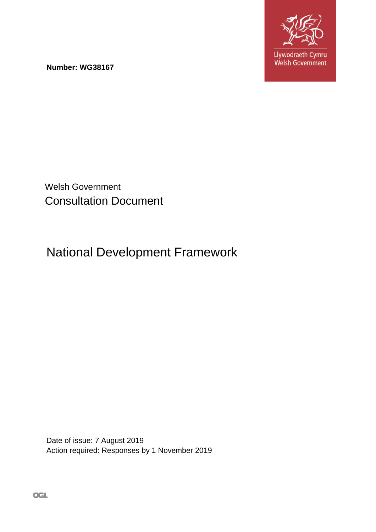

**Number: WG38167** 

Welsh Government Consultation Document

# National Development Framework

Date of issue: 7 August 2019 Action required: Responses by 1 November 2019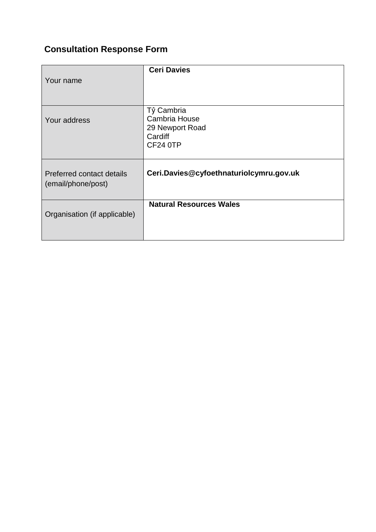## **Consultation Response Form**

| Your name                                       | <b>Ceri Davies</b>                                                                  |
|-------------------------------------------------|-------------------------------------------------------------------------------------|
|                                                 |                                                                                     |
| Your address                                    | Tŷ Cambria<br><b>Cambria House</b><br>29 Newport Road<br>Cardiff<br><b>CF24 0TP</b> |
| Preferred contact details<br>(email/phone/post) | Ceri.Davies@cyfoethnaturiolcymru.gov.uk                                             |
| Organisation (if applicable)                    | <b>Natural Resources Wales</b>                                                      |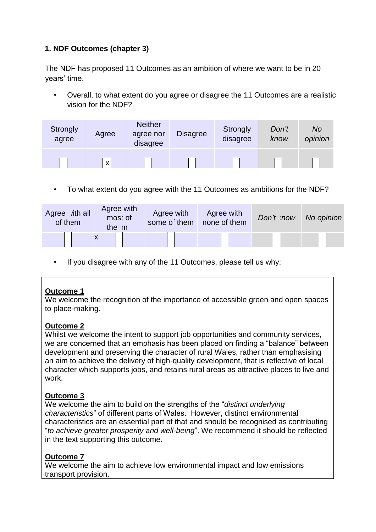## **1. NDF Outcomes (chapter 3)**

The NDF has proposed 11 Outcomes as an ambition of where we want to be in 20 years' time.

• Overall, to what extent do you agree or disagree the 11 Outcomes are a realistic vision for the NDF?

| <b>Strongly</b><br>agree | Agree | <b>Neither</b><br>agree nor<br>disagree | <b>Disagree</b> | Strongly<br>disagree | Don't<br>know | No<br>opinion |
|--------------------------|-------|-----------------------------------------|-----------------|----------------------|---------------|---------------|
|                          | X     |                                         |                 |                      |               |               |

• To what extent do you agree with the 11 Outcomes as ambitions for the NDF?

| Agree <i>ith</i> all<br>of them | Agree with<br>mos: of<br>the m | Agree with<br>some o them | Agree with<br>none of them | Don't mow | No opinion |
|---------------------------------|--------------------------------|---------------------------|----------------------------|-----------|------------|
|                                 |                                |                           |                            |           |            |

• If you disagree with any of the 11 Outcomes, please tell us why:

#### **Outcome 1**

We welcome the recognition of the importance of accessible green and open spaces to place-making.

#### **Outcome 2**

Whilst we welcome the intent to support job opportunities and community services, we are concerned that an emphasis has been placed on finding a "balance" between development and preserving the character of rural Wales, rather than emphasising an aim to achieve the delivery of high-quality development, that is reflective of local character which supports jobs, and retains rural areas as attractive places to live and work.

## **Outcome 3**

We welcome the aim to build on the strengths of the "*distinct underlying characteristics*" of different parts of Wales. However, distinct environmental characteristics are an essential part of that and should be recognised as contributing "*to achieve greater prosperity and well-being*". We recommend it should be reflected in the text supporting this outcome.

#### **Outcome 7**

We welcome the aim to achieve low environmental impact and low emissions transport provision.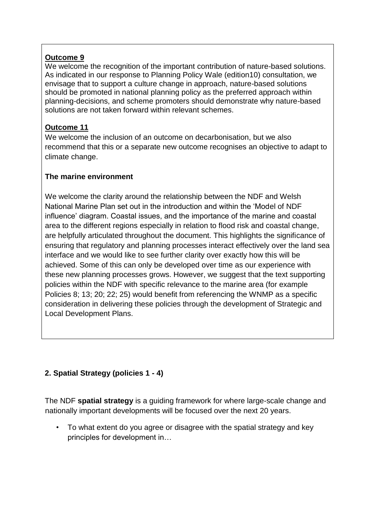## **Outcome 9**

We welcome the recognition of the important contribution of nature-based solutions. As indicated in our response to Planning Policy Wale (edition10) consultation, we envisage that to support a culture change in approach, nature-based solutions should be promoted in national planning policy as the preferred approach within planning-decisions, and scheme promoters should demonstrate why nature-based solutions are not taken forward within relevant schemes.

#### **Outcome 11**

We welcome the inclusion of an outcome on decarbonisation, but we also recommend that this or a separate new outcome recognises an objective to adapt to climate change.

## **The marine environment**

We welcome the clarity around the relationship between the NDF and Welsh National Marine Plan set out in the introduction and within the 'Model of NDF influence' diagram. Coastal issues, and the importance of the marine and coastal area to the different regions especially in relation to flood risk and coastal change, are helpfully articulated throughout the document. This highlights the significance of ensuring that regulatory and planning processes interact effectively over the land sea interface and we would like to see further clarity over exactly how this will be achieved. Some of this can only be developed over time as our experience with these new planning processes grows. However, we suggest that the text supporting policies within the NDF with specific relevance to the marine area (for example Policies 8; 13; 20; 22; 25) would benefit from referencing the WNMP as a specific consideration in delivering these policies through the development of Strategic and Local Development Plans.

## **2. Spatial Strategy (policies 1 - 4)**

The NDF **spatial strategy** is a guiding framework for where large-scale change and nationally important developments will be focused over the next 20 years.

• To what extent do you agree or disagree with the spatial strategy and key principles for development in…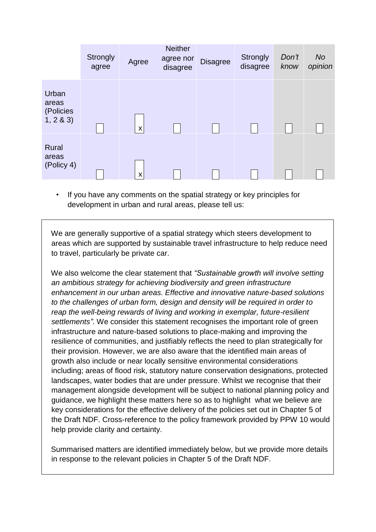|                                         | <b>Strongly</b><br>agree | Agree | <b>Neither</b><br>agree nor<br>disagree | <b>Disagree</b> | <b>Strongly</b><br>disagree | Don't<br>know | <b>No</b><br>opinion |
|-----------------------------------------|--------------------------|-------|-----------------------------------------|-----------------|-----------------------------|---------------|----------------------|
| Urban<br>areas<br>(Policies<br>1, 2 & 3 |                          | X     |                                         |                 |                             |               |                      |
| Rural<br>areas<br>(Policy 4)            |                          | X     |                                         |                 |                             |               |                      |

• If you have any comments on the spatial strategy or key principles for development in urban and rural areas, please tell us:

We are generally supportive of a spatial strategy which steers development to areas which are supported by sustainable travel infrastructure to help reduce need to travel, particularly be private car.

We also welcome the clear statement that *"Sustainable growth will involve setting an ambitious strategy for achieving biodiversity and green infrastructure enhancement in our urban areas. Effective and innovative nature-based solutions to the challenges of urban form, design and density will be required in order to reap the well-being rewards of living and working in exemplar, future-resilient settlements"*. We consider this statement recognises the important role of green infrastructure and nature-based solutions to place-making and improving the resilience of communities, and justifiably reflects the need to plan strategically for their provision. However, we are also aware that the identified main areas of growth also include or near locally sensitive environmental considerations including; areas of flood risk, statutory nature conservation designations, protected landscapes, water bodies that are under pressure. Whilst we recognise that their management alongside development will be subject to national planning policy and guidance, we highlight these matters here so as to highlight what we believe are key considerations for the effective delivery of the policies set out in Chapter 5 of the Draft NDF. Cross-reference to the policy framework provided by PPW 10 would help provide clarity and certainty.

Summarised matters are identified immediately below, but we provide more details in response to the relevant policies in Chapter 5 of the Draft NDF.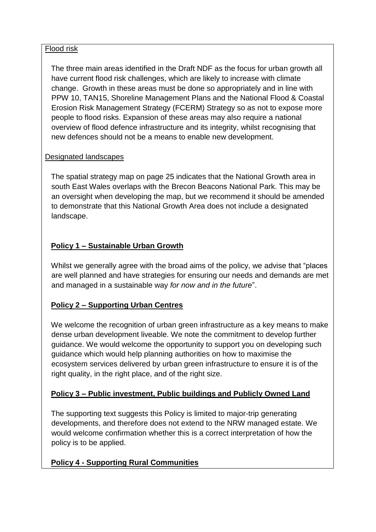#### Flood risk

The three main areas identified in the Draft NDF as the focus for urban growth all have current flood risk challenges, which are likely to increase with climate change. Growth in these areas must be done so appropriately and in line with PPW 10, TAN15, Shoreline Management Plans and the National Flood & Coastal Erosion Risk Management Strategy (FCERM) Strategy so as not to expose more people to flood risks. Expansion of these areas may also require a national overview of flood defence infrastructure and its integrity, whilst recognising that new defences should not be a means to enable new development.

#### Designated landscapes

The spatial strategy map on page 25 indicates that the National Growth area in south East Wales overlaps with the Brecon Beacons National Park. This may be an oversight when developing the map, but we recommend it should be amended to demonstrate that this National Growth Area does not include a designated landscape.

## **Policy 1 – Sustainable Urban Growth**

Whilst we generally agree with the broad aims of the policy, we advise that "places are well planned and have strategies for ensuring our needs and demands are met and managed in a sustainable way *for now and in the future*".

## **Policy 2 – Supporting Urban Centres**

We welcome the recognition of urban green infrastructure as a key means to make dense urban development liveable. We note the commitment to develop further guidance. We would welcome the opportunity to support you on developing such guidance which would help planning authorities on how to maximise the ecosystem services delivered by urban green infrastructure to ensure it is of the right quality, in the right place, and of the right size.

## **Policy 3 – Public investment, Public buildings and Publicly Owned Land**

The supporting text suggests this Policy is limited to major-trip generating developments, and therefore does not extend to the NRW managed estate. We would welcome confirmation whether this is a correct interpretation of how the policy is to be applied.

## **Policy 4 - Supporting Rural Communities**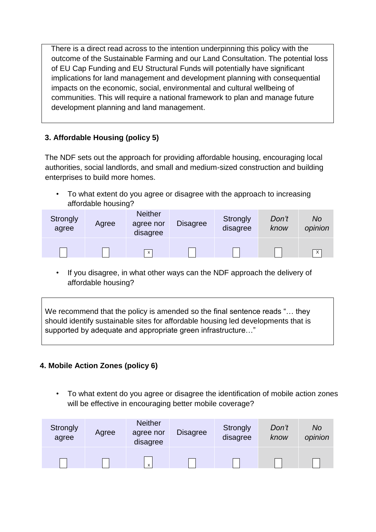There is a direct read across to the intention underpinning this policy with the outcome of the Sustainable Farming and our Land Consultation. The potential loss of EU Cap Funding and EU Structural Funds will potentially have significant implications for land management and development planning with consequential impacts on the economic, social, environmental and cultural wellbeing of communities. This will require a national framework to plan and manage future development planning and land management.

## **3. Affordable Housing (policy 5)**

The NDF sets out the approach for providing affordable housing, encouraging local authorities, social landlords, and small and medium-sized construction and building enterprises to build more homes.

• To what extent do you agree or disagree with the approach to increasing affordable housing?

| <b>Strongly</b><br>agree | Agree | <b>Neither</b><br>agree nor<br>disagree | <b>Disagree</b> | Strongly<br>disagree | Don't<br>know | No<br>opinion |
|--------------------------|-------|-----------------------------------------|-----------------|----------------------|---------------|---------------|
|                          |       | $\mathsf{x}$                            |                 |                      |               | $\mathsf{X}$  |

• If you disagree, in what other ways can the NDF approach the delivery of affordable housing?

We recommend that the policy is amended so the final sentence reads "... they should identify sustainable sites for affordable housing led developments that is supported by adequate and appropriate green infrastructure…"

## **4. Mobile Action Zones (policy 6)**

• To what extent do you agree or disagree the identification of mobile action zones will be effective in encouraging better mobile coverage?

| <b>Strongly</b><br>agree | Agree | <b>Neither</b><br>agree nor<br>disagree | <b>Disagree</b> | Strongly<br>disagree | Don't<br>know | <b>No</b><br>opinion |
|--------------------------|-------|-----------------------------------------|-----------------|----------------------|---------------|----------------------|
|                          |       | x                                       |                 |                      |               |                      |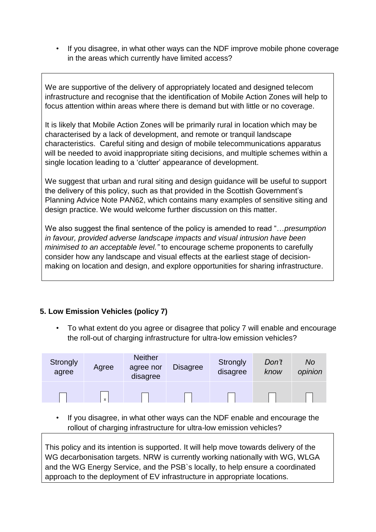• If you disagree, in what other ways can the NDF improve mobile phone coverage in the areas which currently have limited access?

We are supportive of the delivery of appropriately located and designed telecom infrastructure and recognise that the identification of Mobile Action Zones will help to focus attention within areas where there is demand but with little or no coverage.

It is likely that Mobile Action Zones will be primarily rural in location which may be characterised by a lack of development, and remote or tranquil landscape characteristics. Careful siting and design of mobile telecommunications apparatus will be needed to avoid inappropriate siting decisions, and multiple schemes within a single location leading to a 'clutter' appearance of development.

We suggest that urban and rural siting and design guidance will be useful to support the delivery of this policy, such as that provided in the Scottish Government's Planning Advice Note PAN62, which contains many examples of sensitive siting and design practice. We would welcome further discussion on this matter.

We also suggest the final sentence of the policy is amended to read "…*presumption in favour, provided adverse landscape impacts and visual intrusion have been minimised to an acceptable level."* to encourage scheme proponents to carefully consider how any landscape and visual effects at the earliest stage of decisionmaking on location and design, and explore opportunities for sharing infrastructure.

## **5. Low Emission Vehicles (policy 7)**

• To what extent do you agree or disagree that policy 7 will enable and encourage the roll-out of charging infrastructure for ultra-low emission vehicles?

| Strongly<br>agree | Agree | <b>Neither</b><br>agree nor<br>disagree | <b>Disagree</b> | Strongly<br>disagree | Don't<br>know | No<br>opinion |
|-------------------|-------|-----------------------------------------|-----------------|----------------------|---------------|---------------|
|                   | X     |                                         |                 |                      |               |               |

• If you disagree, in what other ways can the NDF enable and encourage the rollout of charging infrastructure for ultra-low emission vehicles?

This policy and its intention is supported. It will help move towards delivery of the WG decarbonisation targets. NRW is currently working nationally with WG, WLGA and the WG Energy Service, and the PSB`s locally, to help ensure a coordinated approach to the deployment of EV infrastructure in appropriate locations.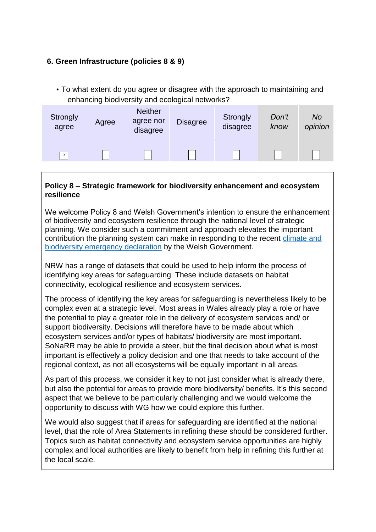#### **6. Green Infrastructure (policies 8 & 9)**

• To what extent do you agree or disagree with the approach to maintaining and enhancing biodiversity and ecological networks?

| Strongly<br>agree | Agree | <b>Neither</b><br>agree nor<br>disagree | <b>Disagree</b> | Strongly<br>disagree | Don't<br>know | <b>No</b><br>opinion |
|-------------------|-------|-----------------------------------------|-----------------|----------------------|---------------|----------------------|
| $\mathsf{x}$      |       |                                         |                 |                      |               |                      |

#### **Policy 8 – Strategic framework for biodiversity enhancement and ecosystem resilience**

We welcome Policy 8 and Welsh Government's intention to ensure the enhancement of biodiversity and ecosystem resilience through the national level of strategic planning. We consider such a commitment and approach elevates the important contribution the planning system can make in responding to the recent [climate and](https://www.bing.com/search?q=welsh+government+climate+change+emergency&form=IENTHT&mkt=en-gb&httpsmsn=1&refig=857a8e99fa524941b8c0bba8ecfd71b8)  [biodiversity emergency declaration](https://www.bing.com/search?q=welsh+government+climate+change+emergency&form=IENTHT&mkt=en-gb&httpsmsn=1&refig=857a8e99fa524941b8c0bba8ecfd71b8) by the Welsh Government.

NRW has a range of datasets that could be used to help inform the process of identifying key areas for safeguarding. These include datasets on habitat connectivity, ecological resilience and ecosystem services.

The process of identifying the key areas for safeguarding is nevertheless likely to be complex even at a strategic level. Most areas in Wales already play a role or have the potential to play a greater role in the delivery of ecosystem services and/ or support biodiversity. Decisions will therefore have to be made about which ecosystem services and/or types of habitats/ biodiversity are most important. SoNaRR may be able to provide a steer, but the final decision about what is most important is effectively a policy decision and one that needs to take account of the regional context, as not all ecosystems will be equally important in all areas.

As part of this process, we consider it key to not just consider what is already there, but also the potential for areas to provide more biodiversity/ benefits. It's this second aspect that we believe to be particularly challenging and we would welcome the opportunity to discuss with WG how we could explore this further.

We would also suggest that if areas for safeguarding are identified at the national level, that the role of Area Statements in refining these should be considered further. Topics such as habitat connectivity and ecosystem service opportunities are highly complex and local authorities are likely to benefit from help in refining this further at the local scale.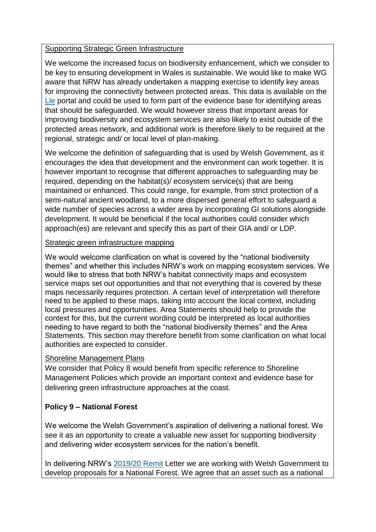#### Supporting Strategic Green Infrastructure

We welcome the increased focus on biodiversity enhancement, which we consider to be key to ensuring development in Wales is sustainable. We would like to make WG aware that NRW has already undertaken a mapping exercise to identify key areas for improving the connectivity between protected areas. This data is available on the [Lle](http://lle.gov.wales/home) portal and could be used to form part of the evidence base for identifying areas that should be safeguarded. We would however stress that important areas for improving biodiversity and ecosystem services are also likely to exist outside of the protected areas network, and additional work is therefore likely to be required at the regional, strategic and/ or local level of plan-making.

We welcome the definition of safeguarding that is used by Welsh Government, as it encourages the idea that development and the environment can work together. It is however important to recognise that different approaches to safeguarding may be required, depending on the habitat(s)/ ecosystem service(s) that are being maintained or enhanced. This could range, for example, from strict protection of a semi-natural ancient woodland, to a more dispersed general effort to safeguard a wide number of species across a wider area by incorporating GI solutions alongside development. It would be beneficial if the local authorities could consider which approach(es) are relevant and specify this as part of their GIA and/ or LDP.

#### Strategic green infrastructure mapping

We would welcome clarification on what is covered by the "national biodiversity themes" and whether this includes NRW's work on mapping ecosystem services. We would like to stress that both NRW's habitat connectivity maps and ecosystem service maps set out opportunities and that not everything that is covered by these maps necessarily requires protection. A certain level of interpretation will therefore need to be applied to these maps, taking into account the local context, including local pressures and opportunities. Area Statements should help to provide the context for this, but the current wording could be interpreted as local authorities needing to have regard to both the "national biodiversity themes" and the Area Statements. This section may therefore benefit from some clarification on what local authorities are expected to consider.

#### Shoreline Management Plans

We consider that Policy 8 would benefit from specific reference to Shoreline Management Policies which provide an important context and evidence base for delivering green infrastructure approaches at the coast.

## **Policy 9 – National Forest**

We welcome the Welsh Government's aspiration of delivering a national forest. We see it as an opportunity to create a valuable new asset for supporting biodiversity and delivering wider ecosystem services for the nation's benefit.

In delivering NRW's [2019/20 Remit](https://gov.wales/sites/default/files/publications/2019-07/NRW%20Remit%20letter%202019-20_0.pdf) Letter we are working with Welsh Government to develop proposals for a National Forest. We agree that an asset such as a national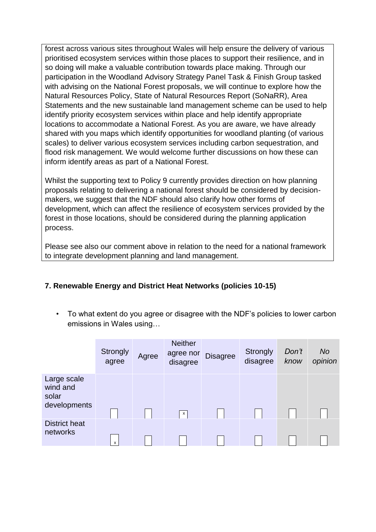forest across various sites throughout Wales will help ensure the delivery of various prioritised ecosystem services within those places to support their resilience, and in so doing will make a valuable contribution towards place making. Through our participation in the Woodland Advisory Strategy Panel Task & Finish Group tasked with advising on the National Forest proposals, we will continue to explore how the Natural Resources Policy, State of Natural Resources Report (SoNaRR), Area Statements and the new sustainable land management scheme can be used to help identify priority ecosystem services within place and help identify appropriate locations to accommodate a National Forest. As you are aware, we have already shared with you maps which identify opportunities for woodland planting (of various scales) to deliver various ecosystem services including carbon sequestration, and flood risk management. We would welcome further discussions on how these can inform identify areas as part of a National Forest.

Whilst the supporting text to Policy 9 currently provides direction on how planning proposals relating to delivering a national forest should be considered by decisionmakers, we suggest that the NDF should also clarify how other forms of development, which can affect the resilience of ecosystem services provided by the forest in those locations, should be considered during the planning application process.

Please see also our comment above in relation to the need for a national framework to integrate development planning and land management.

## **7. Renewable Energy and District Heat Networks (policies 10-15)**

• To what extent do you agree or disagree with the NDF's policies to lower carbon emissions in Wales using…

|                                                  | <b>Strongly</b><br>agree | Agree | <b>Neither</b><br>agree nor<br>disagree | <b>Disagree</b> | Strongly<br>disagree | Don't<br>know | No<br>opinion |
|--------------------------------------------------|--------------------------|-------|-----------------------------------------|-----------------|----------------------|---------------|---------------|
| Large scale<br>wind and<br>solar<br>developments |                          |       | $\mathsf{x}$                            |                 |                      |               |               |
| <b>District heat</b><br>networks                 | x                        |       |                                         |                 |                      |               |               |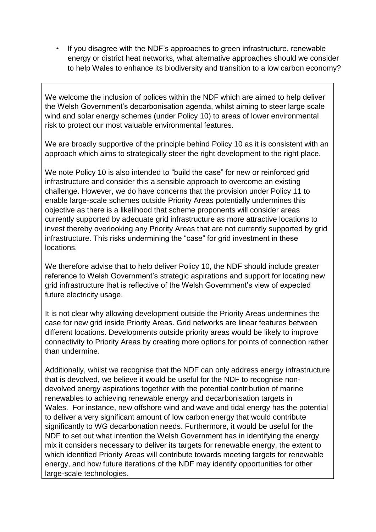• If you disagree with the NDF's approaches to green infrastructure, renewable energy or district heat networks, what alternative approaches should we consider to help Wales to enhance its biodiversity and transition to a low carbon economy?

We welcome the inclusion of polices within the NDF which are aimed to help deliver the Welsh Government's decarbonisation agenda, whilst aiming to steer large scale wind and solar energy schemes (under Policy 10) to areas of lower environmental risk to protect our most valuable environmental features.

We are broadly supportive of the principle behind Policy 10 as it is consistent with an approach which aims to strategically steer the right development to the right place.

We note Policy 10 is also intended to "build the case" for new or reinforced grid infrastructure and consider this a sensible approach to overcome an existing challenge. However, we do have concerns that the provision under Policy 11 to enable large-scale schemes outside Priority Areas potentially undermines this objective as there is a likelihood that scheme proponents will consider areas currently supported by adequate grid infrastructure as more attractive locations to invest thereby overlooking any Priority Areas that are not currently supported by grid infrastructure. This risks undermining the "case" for grid investment in these locations.

We therefore advise that to help deliver Policy 10, the NDF should include greater reference to Welsh Government's strategic aspirations and support for locating new grid infrastructure that is reflective of the Welsh Government's view of expected future electricity usage.

It is not clear why allowing development outside the Priority Areas undermines the case for new grid inside Priority Areas. Grid networks are linear features between different locations. Developments outside priority areas would be likely to improve connectivity to Priority Areas by creating more options for points of connection rather than undermine.

Additionally, whilst we recognise that the NDF can only address energy infrastructure that is devolved, we believe it would be useful for the NDF to recognise nondevolved energy aspirations together with the potential contribution of marine renewables to achieving renewable energy and decarbonisation targets in Wales. For instance, new offshore wind and wave and tidal energy has the potential to deliver a very significant amount of low carbon energy that would contribute significantly to WG decarbonation needs. Furthermore, it would be useful for the NDF to set out what intention the Welsh Government has in identifying the energy mix it considers necessary to deliver its targets for renewable energy, the extent to which identified Priority Areas will contribute towards meeting targets for renewable energy, and how future iterations of the NDF may identify opportunities for other large-scale technologies.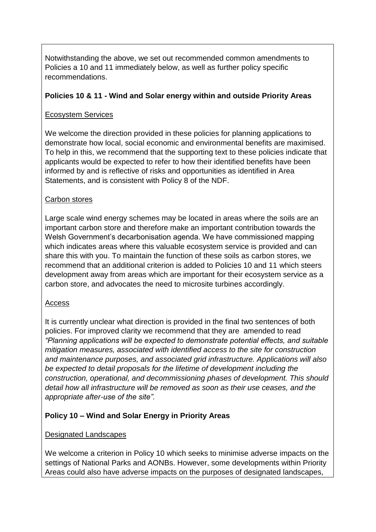Notwithstanding the above, we set out recommended common amendments to Policies a 10 and 11 immediately below, as well as further policy specific recommendations.

#### **Policies 10 & 11 - Wind and Solar energy within and outside Priority Areas**

## Ecosystem Services

We welcome the direction provided in these policies for planning applications to demonstrate how local, social economic and environmental benefits are maximised. To help in this, we recommend that the supporting text to these policies indicate that applicants would be expected to refer to how their identified benefits have been informed by and is reflective of risks and opportunities as identified in Area Statements, and is consistent with Policy 8 of the NDF.

## Carbon stores

Large scale wind energy schemes may be located in areas where the soils are an important carbon store and therefore make an important contribution towards the Welsh Government's decarbonisation agenda. We have commissioned mapping which indicates areas where this valuable ecosystem service is provided and can share this with you. To maintain the function of these soils as carbon stores, we recommend that an additional criterion is added to Policies 10 and 11 which steers development away from areas which are important for their ecosystem service as a carbon store, and advocates the need to microsite turbines accordingly.

#### Access

It is currently unclear what direction is provided in the final two sentences of both policies. For improved clarity we recommend that they are amended to read *"Planning applications will be expected to demonstrate potential effects, and suitable mitigation measures, associated with identified access to the site for construction and maintenance purposes, and associated grid infrastructure. Applications will also be expected to detail proposals for the lifetime of development including the construction, operational, and decommissioning phases of development. This should detail how all infrastructure will be removed as soon as their use ceases, and the appropriate after-use of the site".*

## **Policy 10 – Wind and Solar Energy in Priority Areas**

#### Designated Landscapes

We welcome a criterion in Policy 10 which seeks to minimise adverse impacts on the settings of National Parks and AONBs. However, some developments within Priority Areas could also have adverse impacts on the purposes of designated landscapes,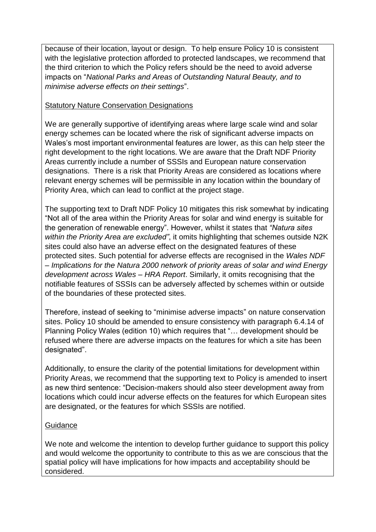because of their location, layout or design. To help ensure Policy 10 is consistent with the legislative protection afforded to protected landscapes, we recommend that the third criterion to which the Policy refers should be the need to avoid adverse impacts on "*National Parks and Areas of Outstanding Natural Beauty, and to minimise adverse effects on their settings*".

#### Statutory Nature Conservation Designations

We are generally supportive of identifying areas where large scale wind and solar energy schemes can be located where the risk of significant adverse impacts on Wales's most important environmental features are lower, as this can help steer the right development to the right locations. We are aware that the Draft NDF Priority Areas currently include a number of SSSIs and European nature conservation designations. There is a risk that Priority Areas are considered as locations where relevant energy schemes will be permissible in any location within the boundary of Priority Area, which can lead to conflict at the project stage.

The supporting text to Draft NDF Policy 10 mitigates this risk somewhat by indicating "Not all of the area within the Priority Areas for solar and wind energy is suitable for the generation of renewable energy". However, whilst it states that *"Natura sites within the Priority Area are excluded"*, it omits highlighting that schemes outside N2K sites could also have an adverse effect on the designated features of these protected sites. Such potential for adverse effects are recognised in the *Wales NDF – Implications for the Natura 2000 network of priority areas of solar and wind Energy development across Wales – HRA Report*. Similarly, it omits recognising that the notifiable features of SSSIs can be adversely affected by schemes within or outside of the boundaries of these protected sites.

Therefore, instead of seeking to "minimise adverse impacts" on nature conservation sites. Policy 10 should be amended to ensure consistency with paragraph 6.4.14 of Planning Policy Wales (edition 10) which requires that "… development should be refused where there are adverse impacts on the features for which a site has been designated".

Additionally, to ensure the clarity of the potential limitations for development within Priority Areas, we recommend that the supporting text to Policy is amended to insert as new third sentence: "Decision-makers should also steer development away from locations which could incur adverse effects on the features for which European sites are designated, or the features for which SSSIs are notified.

#### **Guidance**

We note and welcome the intention to develop further guidance to support this policy and would welcome the opportunity to contribute to this as we are conscious that the spatial policy will have implications for how impacts and acceptability should be considered.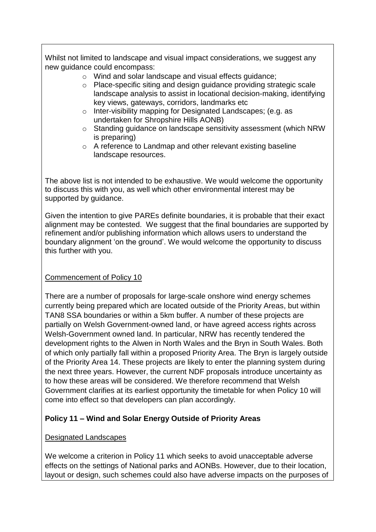Whilst not limited to landscape and visual impact considerations, we suggest any new guidance could encompass:

- o Wind and solar landscape and visual effects guidance;
- o Place-specific siting and design guidance providing strategic scale landscape analysis to assist in locational decision-making, identifying key views, gateways, corridors, landmarks etc
- o Inter-visibility mapping for Designated Landscapes; (e.g. as undertaken for Shropshire Hills AONB)
- o Standing guidance on landscape sensitivity assessment (which NRW is preparing)
- o A reference to Landmap and other relevant existing baseline landscape resources.

The above list is not intended to be exhaustive. We would welcome the opportunity to discuss this with you, as well which other environmental interest may be supported by guidance.

Given the intention to give PAREs definite boundaries, it is probable that their exact alignment may be contested. We suggest that the final boundaries are supported by refinement and/or publishing information which allows users to understand the boundary alignment 'on the ground'. We would welcome the opportunity to discuss this further with you.

#### Commencement of Policy 10

There are a number of proposals for large-scale onshore wind energy schemes currently being prepared which are located outside of the Priority Areas, but within TAN8 SSA boundaries or within a 5km buffer. A number of these projects are partially on Welsh Government-owned land, or have agreed access rights across Welsh-Government owned land. In particular, NRW has recently tendered the development rights to the Alwen in North Wales and the Bryn in South Wales. Both of which only partially fall within a proposed Priority Area. The Bryn is largely outside of the Priority Area 14. These projects are likely to enter the planning system during the next three years. However, the current NDF proposals introduce uncertainty as to how these areas will be considered. We therefore recommend that Welsh Government clarifies at its earliest opportunity the timetable for when Policy 10 will come into effect so that developers can plan accordingly.

## **Policy 11 – Wind and Solar Energy Outside of Priority Areas**

#### Designated Landscapes

We welcome a criterion in Policy 11 which seeks to avoid unacceptable adverse effects on the settings of National parks and AONBs. However, due to their location, layout or design, such schemes could also have adverse impacts on the purposes of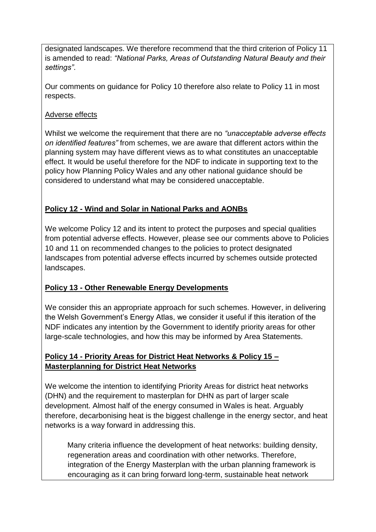designated landscapes. We therefore recommend that the third criterion of Policy 11 is amended to read: *"National Parks, Areas of Outstanding Natural Beauty and their settings"*.

Our comments on guidance for Policy 10 therefore also relate to Policy 11 in most respects.

Adverse effects

Whilst we welcome the requirement that there are no *"unacceptable adverse effects on identified features"* from schemes, we are aware that different actors within the planning system may have different views as to what constitutes an unacceptable effect. It would be useful therefore for the NDF to indicate in supporting text to the policy how Planning Policy Wales and any other national guidance should be considered to understand what may be considered unacceptable.

## **Policy 12 - Wind and Solar in National Parks and AONBs**

We welcome Policy 12 and its intent to protect the purposes and special qualities from potential adverse effects. However, please see our comments above to Policies 10 and 11 on recommended changes to the policies to protect designated landscapes from potential adverse effects incurred by schemes outside protected landscapes.

## **Policy 13 - Other Renewable Energy Developments**

We consider this an appropriate approach for such schemes. However, in delivering the Welsh Government's Energy Atlas, we consider it useful if this iteration of the NDF indicates any intention by the Government to identify priority areas for other large-scale technologies, and how this may be informed by Area Statements.

## **Policy 14 - Priority Areas for District Heat Networks & Policy 15 – Masterplanning for District Heat Networks**

We welcome the intention to identifying Priority Areas for district heat networks (DHN) and the requirement to masterplan for DHN as part of larger scale development. Almost half of the energy consumed in Wales is heat. Arguably therefore, decarbonising heat is the biggest challenge in the energy sector, and heat networks is a way forward in addressing this.

Many criteria influence the development of heat networks: building density, regeneration areas and coordination with other networks. Therefore, integration of the Energy Masterplan with the urban planning framework is encouraging as it can bring forward long-term, sustainable heat network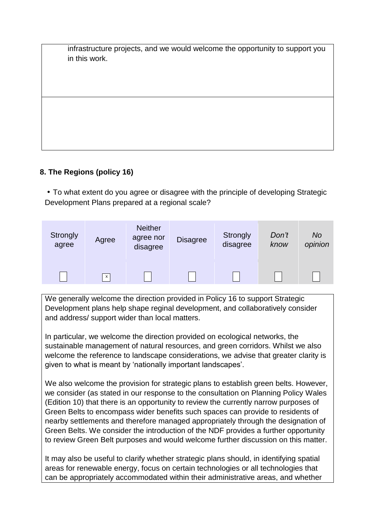| infrastructure projects, and we would welcome the opportunity to support you |
|------------------------------------------------------------------------------|
| in this work.                                                                |
|                                                                              |
|                                                                              |
|                                                                              |
|                                                                              |

## **8. The Regions (policy 16)**

• To what extent do you agree or disagree with the principle of developing Strategic Development Plans prepared at a regional scale?

| Strongly<br>agree | Agree        | <b>Neither</b><br>agree nor<br>disagree | <b>Disagree</b> | Strongly<br>disagree | Don't<br>know | <b>No</b><br>opinion |
|-------------------|--------------|-----------------------------------------|-----------------|----------------------|---------------|----------------------|
|                   | $\mathsf{x}$ |                                         |                 |                      |               |                      |

We generally welcome the direction provided in Policy 16 to support Strategic Development plans help shape reginal development, and collaboratively consider and address/ support wider than local matters.

In particular, we welcome the direction provided on ecological networks, the sustainable management of natural resources, and green corridors. Whilst we also welcome the reference to landscape considerations, we advise that greater clarity is given to what is meant by 'nationally important landscapes'.

We also welcome the provision for strategic plans to establish green belts. However, we consider (as stated in our response to the consultation on Planning Policy Wales (Edition 10) that there is an opportunity to review the currently narrow purposes of Green Belts to encompass wider benefits such spaces can provide to residents of nearby settlements and therefore managed appropriately through the designation of Green Belts. We consider the introduction of the NDF provides a further opportunity to review Green Belt purposes and would welcome further discussion on this matter.

It may also be useful to clarify whether strategic plans should, in identifying spatial areas for renewable energy, focus on certain technologies or all technologies that can be appropriately accommodated within their administrative areas, and whether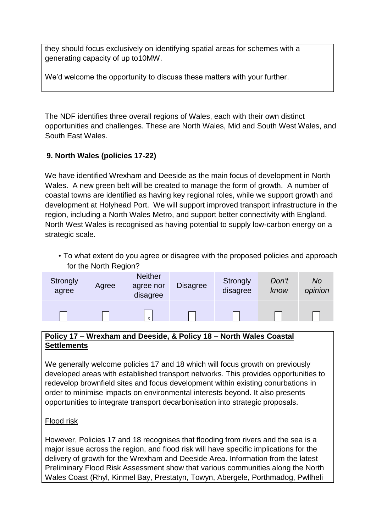they should focus exclusively on identifying spatial areas for schemes with a generating capacity of up to10MW.

We'd welcome the opportunity to discuss these matters with your further.

The NDF identifies three overall regions of Wales, each with their own distinct opportunities and challenges. These are North Wales, Mid and South West Wales, and South East Wales.

## **9. North Wales (policies 17-22)**

We have identified Wrexham and Deeside as the main focus of development in North Wales. A new green belt will be created to manage the form of growth. A number of coastal towns are identified as having key regional roles, while we support growth and development at Holyhead Port. We will support improved transport infrastructure in the region, including a North Wales Metro, and support better connectivity with England. North West Wales is recognised as having potential to supply low-carbon energy on a strategic scale.

• To what extent do you agree or disagree with the proposed policies and approach for the North Region?

| <b>Strongly</b><br>agree | Agree | <b>Neither</b><br>agree nor<br>disagree | <b>Disagree</b> | Strongly<br>disagree | Don't<br>know | <b>No</b><br>opinion |
|--------------------------|-------|-----------------------------------------|-----------------|----------------------|---------------|----------------------|
|                          |       | $\boldsymbol{\mathsf{x}}$               |                 |                      |               |                      |

#### **Policy 17 – Wrexham and Deeside, & Policy 18 – North Wales Coastal Settlements**

We generally welcome policies 17 and 18 which will focus growth on previously developed areas with established transport networks. This provides opportunities to redevelop brownfield sites and focus development within existing conurbations in order to minimise impacts on environmental interests beyond. It also presents opportunities to integrate transport decarbonisation into strategic proposals.

#### Flood risk

However, Policies 17 and 18 recognises that flooding from rivers and the sea is a major issue across the region, and flood risk will have specific implications for the delivery of growth for the Wrexham and Deeside Area. Information from the latest Preliminary Flood Risk Assessment show that various communities along the North Wales Coast (Rhyl, Kinmel Bay, Prestatyn, Towyn, Abergele, Porthmadog, Pwllheli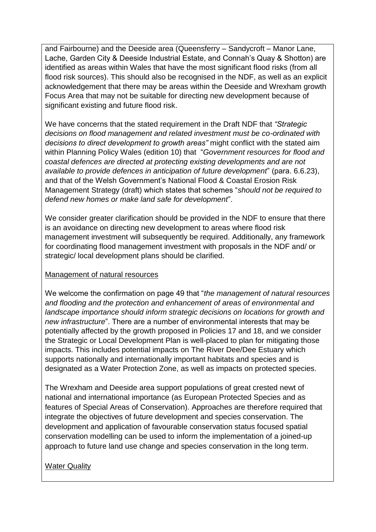and Fairbourne) and the Deeside area (Queensferry – Sandycroft – Manor Lane, Lache, Garden City & Deeside Industrial Estate, and Connah's Quay & Shotton) are identified as areas within Wales that have the most significant flood risks (from all flood risk sources). This should also be recognised in the NDF, as well as an explicit acknowledgement that there may be areas within the Deeside and Wrexham growth Focus Area that may not be suitable for directing new development because of significant existing and future flood risk.

We have concerns that the stated requirement in the Draft NDF that *"Strategic decisions on flood management and related investment must be co-ordinated with decisions to direct development to growth areas"* might conflict with the stated aim within Planning Policy Wales (edition 10) that "*Government resources for flood and coastal defences are directed at protecting existing developments and are not available to provide defences in anticipation of future development*" (para. 6.6.23), and that of the Welsh Government's National Flood & Coastal Erosion Risk Management Strategy (draft) which states that schemes "*should not be required to defend new homes or make land safe for development*".

We consider greater clarification should be provided in the NDF to ensure that there is an avoidance on directing new development to areas where flood risk management investment will subsequently be required. Additionally, any framework for coordinating flood management investment with proposals in the NDF and/ or strategic/ local development plans should be clarified.

#### Management of natural resources

We welcome the confirmation on page 49 that "*the management of natural resources and flooding and the protection and enhancement of areas of environmental and landscape importance should inform strategic decisions on locations for growth and new infrastructure*". There are a number of environmental interests that may be potentially affected by the growth proposed in Policies 17 and 18, and we consider the Strategic or Local Development Plan is well-placed to plan for mitigating those impacts. This includes potential impacts on The River Dee/Dee Estuary which supports nationally and internationally important habitats and species and is designated as a Water Protection Zone, as well as impacts on protected species.

The Wrexham and Deeside area support populations of great crested newt of national and international importance (as European Protected Species and as features of Special Areas of Conservation). Approaches are therefore required that integrate the objectives of future development and species conservation. The development and application of favourable conservation status focused spatial conservation modelling can be used to inform the implementation of a joined-up approach to future land use change and species conservation in the long term.

#### Water Quality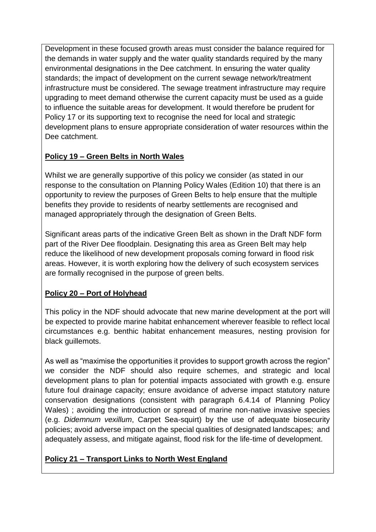Development in these focused growth areas must consider the balance required for the demands in water supply and the water quality standards required by the many environmental designations in the Dee catchment. In ensuring the water quality standards; the impact of development on the current sewage network/treatment infrastructure must be considered. The sewage treatment infrastructure may require upgrading to meet demand otherwise the current capacity must be used as a guide to influence the suitable areas for development. It would therefore be prudent for Policy 17 or its supporting text to recognise the need for local and strategic development plans to ensure appropriate consideration of water resources within the Dee catchment.

## **Policy 19 – Green Belts in North Wales**

Whilst we are generally supportive of this policy we consider (as stated in our response to the consultation on Planning Policy Wales (Edition 10) that there is an opportunity to review the purposes of Green Belts to help ensure that the multiple benefits they provide to residents of nearby settlements are recognised and managed appropriately through the designation of Green Belts.

Significant areas parts of the indicative Green Belt as shown in the Draft NDF form part of the River Dee floodplain. Designating this area as Green Belt may help reduce the likelihood of new development proposals coming forward in flood risk areas. However, it is worth exploring how the delivery of such ecosystem services are formally recognised in the purpose of green belts.

## **Policy 20 – Port of Holyhead**

This policy in the NDF should advocate that new marine development at the port will be expected to provide marine habitat enhancement wherever feasible to reflect local circumstances e.g. benthic habitat enhancement measures, nesting provision for black guillemots.

As well as "maximise the opportunities it provides to support growth across the region" we consider the NDF should also require schemes, and strategic and local development plans to plan for potential impacts associated with growth e.g. ensure future foul drainage capacity; ensure avoidance of adverse impact statutory nature conservation designations (consistent with paragraph 6.4.14 of Planning Policy Wales) ; avoiding the introduction or spread of marine non-native invasive species (e.g. *Didemnum vexillum*, Carpet Sea-squirt) by the use of adequate biosecurity policies; avoid adverse impact on the special qualities of designated landscapes; and adequately assess, and mitigate against, flood risk for the life-time of development.

## **Policy 21 – Transport Links to North West England**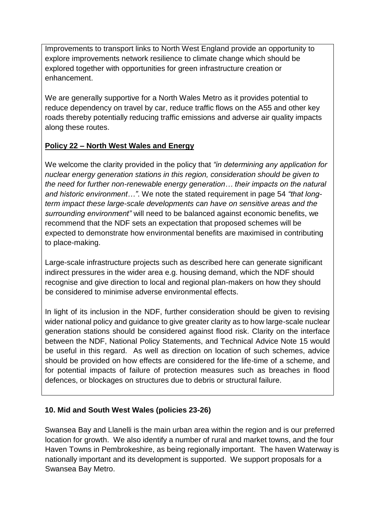Improvements to transport links to North West England provide an opportunity to explore improvements network resilience to climate change which should be explored together with opportunities for green infrastructure creation or enhancement.

We are generally supportive for a North Wales Metro as it provides potential to reduce dependency on travel by car, reduce traffic flows on the A55 and other key roads thereby potentially reducing traffic emissions and adverse air quality impacts along these routes.

## **Policy 22 – North West Wales and Energy**

We welcome the clarity provided in the policy that *"in determining any application for nuclear energy generation stations in this region, consideration should be given to the need for further non-renewable energy generation… their impacts on the natural and historic environment…"*. We note the stated requirement in page 54 *"that longterm impact these large-scale developments can have on sensitive areas and the surrounding environment"* will need to be balanced against economic benefits, we recommend that the NDF sets an expectation that proposed schemes will be expected to demonstrate how environmental benefits are maximised in contributing to place-making.

Large-scale infrastructure projects such as described here can generate significant indirect pressures in the wider area e.g. housing demand, which the NDF should recognise and give direction to local and regional plan-makers on how they should be considered to minimise adverse environmental effects.

In light of its inclusion in the NDF, further consideration should be given to revising wider national policy and guidance to give greater clarity as to how large-scale nuclear generation stations should be considered against flood risk. Clarity on the interface between the NDF, National Policy Statements, and Technical Advice Note 15 would be useful in this regard. As well as direction on location of such schemes, advice should be provided on how effects are considered for the life-time of a scheme, and for potential impacts of failure of protection measures such as breaches in flood defences, or blockages on structures due to debris or structural failure.

## **10. Mid and South West Wales (policies 23-26)**

Swansea Bay and Llanelli is the main urban area within the region and is our preferred location for growth. We also identify a number of rural and market towns, and the four Haven Towns in Pembrokeshire, as being regionally important. The haven Waterway is nationally important and its development is supported. We support proposals for a Swansea Bay Metro.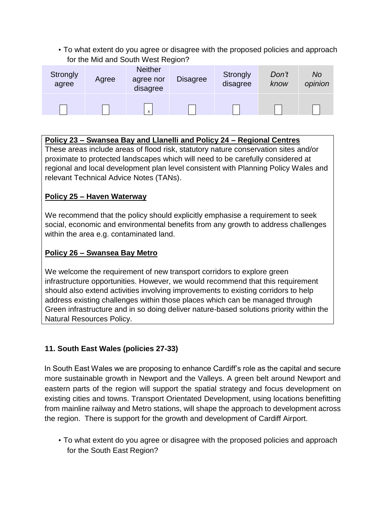• To what extent do you agree or disagree with the proposed policies and approach for the Mid and South West Region?

| <b>Strongly</b><br>agree | Agree | <b>Neither</b><br>agree nor<br>disagree | <b>Disagree</b> | Strongly<br>disagree | Don't<br>know | <b>No</b><br>opinion |
|--------------------------|-------|-----------------------------------------|-----------------|----------------------|---------------|----------------------|
|                          |       | x                                       |                 |                      |               |                      |

| Policy 23 – Swansea Bay and Llanelli and Policy 24 – Regional Centres                                                                                                                                             |
|-------------------------------------------------------------------------------------------------------------------------------------------------------------------------------------------------------------------|
| These areas include areas of flood risk, statutory nature conservation sites and/or                                                                                                                               |
| proximate to protected landscapes which will need to be carefully considered at<br>regional and local development plan level consistent with Planning Policy Wales and<br>relevant Technical Advice Notes (TANs). |
|                                                                                                                                                                                                                   |

## **Policy 25 – Haven Waterway**

We recommend that the policy should explicitly emphasise a requirement to seek social, economic and environmental benefits from any growth to address challenges within the area e.g. contaminated land.

## **Policy 26 – Swansea Bay Metro**

We welcome the requirement of new transport corridors to explore green infrastructure opportunities. However, we would recommend that this requirement should also extend activities involving improvements to existing corridors to help address existing challenges within those places which can be managed through Green infrastructure and in so doing deliver nature-based solutions priority within the Natural Resources Policy.

## **11. South East Wales (policies 27-33)**

In South East Wales we are proposing to enhance Cardiff's role as the capital and secure more sustainable growth in Newport and the Valleys. A green belt around Newport and eastern parts of the region will support the spatial strategy and focus development on existing cities and towns. Transport Orientated Development, using locations benefitting from mainline railway and Metro stations, will shape the approach to development across the region. There is support for the growth and development of Cardiff Airport.

• To what extent do you agree or disagree with the proposed policies and approach for the South East Region?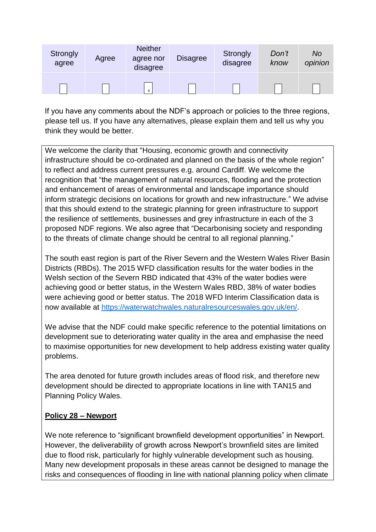| Strongly<br>agree | Agree | <b>Neither</b><br>agree nor<br>disagree | <b>Disagree</b> | Strongly<br>disagree | Don't<br>know | No<br>opinion |
|-------------------|-------|-----------------------------------------|-----------------|----------------------|---------------|---------------|
|                   |       | X                                       |                 |                      |               |               |

If you have any comments about the NDF's approach or policies to the three regions, please tell us. If you have any alternatives, please explain them and tell us why you think they would be better.

We welcome the clarity that "Housing, economic growth and connectivity infrastructure should be co-ordinated and planned on the basis of the whole region" to reflect and address current pressures e.g. around Cardiff. We welcome the recognition that "the management of natural resources, flooding and the protection and enhancement of areas of environmental and landscape importance should inform strategic decisions on locations for growth and new infrastructure." We advise that this should extend to the strategic planning for green infrastructure to support the resilience of settlements, businesses and grey infrastructure in each of the 3 proposed NDF regions. We also agree that "Decarbonising society and responding to the threats of climate change should be central to all regional planning."

The south east region is part of the River Severn and the Western Wales River Basin Districts (RBDs). The 2015 WFD classification results for the water bodies in the Welsh section of the Severn RBD indicated that 43% of the water bodies were achieving good or better status, in the Western Wales RBD, 38% of water bodies were achieving good or better status. The 2018 WFD Interim Classification data is now available at [https://waterwatchwales.naturalresourceswales.gov.uk/en/.](https://waterwatchwales.naturalresourceswales.gov.uk/en/)

We advise that the NDF could make specific reference to the potential limitations on development sue to deteriorating water quality in the area and emphasise the need to maximise opportunities for new development to help address existing water quality problems.

The area denoted for future growth includes areas of flood risk, and therefore new development should be directed to appropriate locations in line with TAN15 and Planning Policy Wales.

#### **Policy 28 – Newport**

We note reference to "significant brownfield development opportunities" in Newport. However, the deliverability of growth across Newport's brownfield sites are limited due to flood risk, particularly for highly vulnerable development such as housing. Many new development proposals in these areas cannot be designed to manage the risks and consequences of flooding in line with national planning policy when climate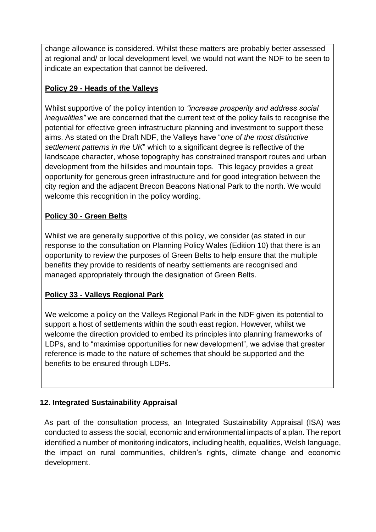change allowance is considered. Whilst these matters are probably better assessed at regional and/ or local development level, we would not want the NDF to be seen to indicate an expectation that cannot be delivered.

## **Policy 29 - Heads of the Valleys**

Whilst supportive of the policy intention to *"increase prosperity and address social inequalities"* we are concerned that the current text of the policy fails to recognise the potential for effective green infrastructure planning and investment to support these aims. As stated on the Draft NDF, the Valleys have "*one of the most distinctive settlement patterns in the UK*" which to a significant degree is reflective of the landscape character, whose topography has constrained transport routes and urban development from the hillsides and mountain tops. This legacy provides a great opportunity for generous green infrastructure and for good integration between the city region and the adjacent Brecon Beacons National Park to the north. We would welcome this recognition in the policy wording.

## **Policy 30 - Green Belts**

Whilst we are generally supportive of this policy, we consider (as stated in our response to the consultation on Planning Policy Wales (Edition 10) that there is an opportunity to review the purposes of Green Belts to help ensure that the multiple benefits they provide to residents of nearby settlements are recognised and managed appropriately through the designation of Green Belts.

## **Policy 33 - Valleys Regional Park**

We welcome a policy on the Valleys Regional Park in the NDF given its potential to support a host of settlements within the south east region. However, whilst we welcome the direction provided to embed its principles into planning frameworks of LDPs, and to "maximise opportunities for new development", we advise that greater reference is made to the nature of schemes that should be supported and the benefits to be ensured through LDPs.

## **12. Integrated Sustainability Appraisal**

As part of the consultation process, an Integrated Sustainability Appraisal (ISA) was conducted to assess the social, economic and environmental impacts of a plan. The report identified a number of monitoring indicators, including health, equalities, Welsh language, the impact on rural communities, children's rights, climate change and economic development.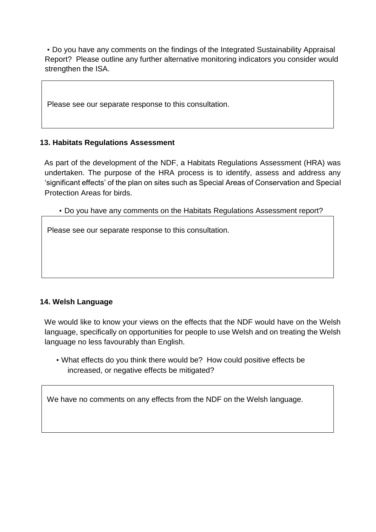• Do you have any comments on the findings of the Integrated Sustainability Appraisal Report? Please outline any further alternative monitoring indicators you consider would strengthen the ISA.

Please see our separate response to this consultation.

#### **13. Habitats Regulations Assessment**

As part of the development of the NDF, a Habitats Regulations Assessment (HRA) was undertaken. The purpose of the HRA process is to identify, assess and address any 'significant effects' of the plan on sites such as Special Areas of Conservation and Special Protection Areas for birds.

• Do you have any comments on the Habitats Regulations Assessment report?

Please see our separate response to this consultation.

#### **14. Welsh Language**

We would like to know your views on the effects that the NDF would have on the Welsh language, specifically on opportunities for people to use Welsh and on treating the Welsh language no less favourably than English.

• What effects do you think there would be? How could positive effects be increased, or negative effects be mitigated?

We have no comments on any effects from the NDF on the Welsh language.